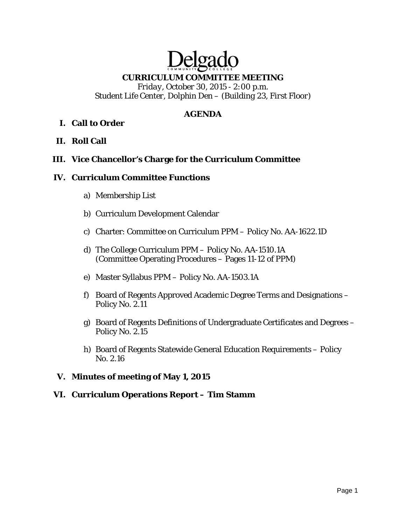# Delga **CURRICULUM COMMITTEE MEETING**

*Friday, October 30, 2015 - 2:00 p.m. Student Life Center, Dolphin Den – (Building 23, First Floor)* 

# **AGENDA**

### **I. Call to Order**

**II. Roll Call** 

#### **III. Vice Chancellor's Charge for the Curriculum Committee**

#### **IV. Curriculum Committee Functions**

- a) Membership List
- b) Curriculum Development Calendar
- c) Charter: Committee on Curriculum PPM Policy No. AA-1622.1D
- d) The College Curriculum PPM Policy No. AA-1510.1A (Committee Operating Procedures – Pages 11-12 of PPM)
- e) Master Syllabus PPM Policy No. AA-1503.1A
- f) Board of Regents Approved Academic Degree Terms and Designations Policy No. 2.11
- g) Board of Regents Definitions of Undergraduate Certificates and Degrees Policy No. 2.15
- h) Board of Regents Statewide General Education Requirements Policy No. 2.16

#### **V. Minutes of meeting of May 1, 2015**

#### **VI. Curriculum Operations Report – Tim Stamm**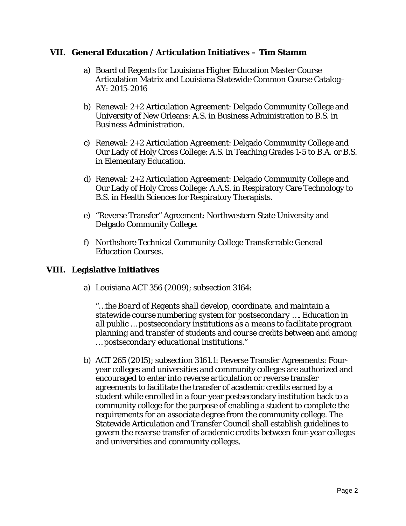#### **VII. General Education / Articulation Initiatives – Tim Stamm**

- a) Board of Regents for Louisiana Higher Education Master Course Articulation Matrix and Louisiana Statewide Common Course Catalog– AY: 2015-2016
- b) Renewal: 2+2 Articulation Agreement: Delgado Community College and University of New Orleans: A.S. in Business Administration to B.S. in Business Administration.
- c) Renewal: 2+2 Articulation Agreement: Delgado Community College and Our Lady of Holy Cross College: A.S. in Teaching Grades 1-5 to B.A. or B.S. in Elementary Education.
- d) Renewal: 2+2 Articulation Agreement: Delgado Community College and Our Lady of Holy Cross College: A.A.S. in Respiratory Care Technology to B.S. in Health Sciences for Respiratory Therapists.
- e) "Reverse Transfer" Agreement: Northwestern State University and Delgado Community College.
- f) Northshore Technical Community College Transferrable General Education Courses.

#### **VIII. Legislative Initiatives**

a) Louisiana ACT 356 (2009); subsection 3164:

*"…the Board of Regents shall develop, coordinate, and maintain a statewide course numbering system for postsecondary …. Education in all public … postsecondary institutions as a means to facilitate program planning and transfer of students and course credits between and among … postsecondary educational institutions."* 

b) ACT 265 (2015); subsection 3161.1: Reverse Transfer Agreements: Fouryear colleges and universities and community colleges are authorized and encouraged to enter into reverse articulation or reverse transfer agreements to facilitate the transfer of academic credits earned by a student while enrolled in a four-year postsecondary institution back to a community college for the purpose of enabling a student to complete the requirements for an associate degree from the community college. The Statewide Articulation and Transfer Council shall establish guidelines to govern the reverse transfer of academic credits between four-year colleges and universities and community colleges.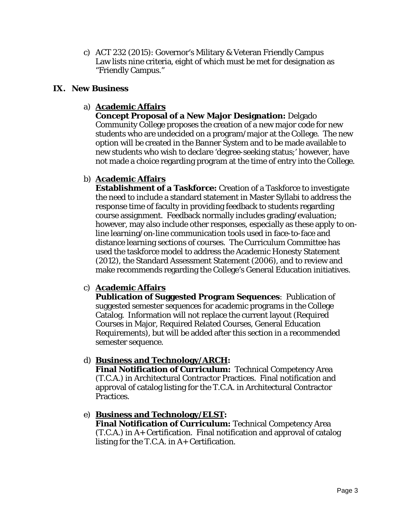c) ACT 232 (2015): Governor's Military & Veteran Friendly Campus Law lists nine criteria, eight of which must be met for designation as "Friendly Campus."

#### **IX. New Business**

# a) **Academic Affairs**

**Concept Proposal of a New Major Designation:** Delgado Community College proposes the creation of a new major code for new students who are undecided on a program/major at the College. The new option will be created in the Banner System and to be made available to new students who wish to declare 'degree-seeking status;' however, have not made a choice regarding program at the time of entry into the College.

# b) **Academic Affairs**

**Establishment of a Taskforce:** Creation of a Taskforce to investigate the need to include a standard statement in Master Syllabi to address the response time of faculty in providing feedback to students regarding course assignment. Feedback normally includes grading/evaluation; however, may also include other responses, especially as these apply to online learning/on-line communication tools used in face-to-face and distance learning sections of courses. The Curriculum Committee has used the taskforce model to address the Academic Honesty Statement (2012), the Standard Assessment Statement (2006), and to review and make recommends regarding the College's General Education initiatives.

# c) **Academic Affairs**

**Publication of Suggested Program Sequences**: Publication of suggested semester sequences for academic programs in the College Catalog. Information will not replace the current layout (Required Courses in Major, Required Related Courses, General Education Requirements), but will be added after this section in a recommended semester sequence.

# d) **Business and Technology/ARCH:**

**Final Notification of Curriculum:** Technical Competency Area (T.C.A.) in Architectural Contractor Practices. Final notification and approval of catalog listing for the T.C.A. in Architectural Contractor Practices.

e) **Business and Technology/ELST: Final Notification of Curriculum:** Technical Competency Area (T.C.A.) in A+ Certification. Final notification and approval of catalog listing for the T.C.A. in A+ Certification.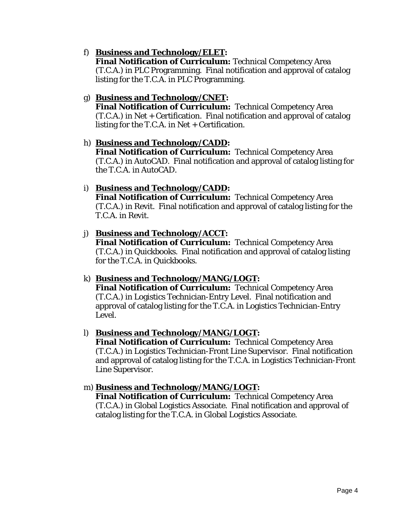#### f) **Business and Technology/ELET:**

**Final Notification of Curriculum:** Technical Competency Area (T.C.A.) in PLC Programming. Final notification and approval of catalog listing for the T.C.A. in PLC Programming.

# g) **Business and Technology/CNET:**

**Final Notification of Curriculum:** Technical Competency Area (T.C.A.) in Net + Certification. Final notification and approval of catalog listing for the T.C.A. in Net  $+$  Certification.

#### h) **Business and Technology/CADD:**

**Final Notification of Curriculum:** Technical Competency Area (T.C.A.) in AutoCAD. Final notification and approval of catalog listing for the T.C.A. in AutoCAD.

#### i) **Business and Technology/CADD:**

**Final Notification of Curriculum:** Technical Competency Area (T.C.A.) in Revit. Final notification and approval of catalog listing for the T.C.A. in Revit.

#### j) **Business and Technology/ACCT:**

**Final Notification of Curriculum:** Technical Competency Area (T.C.A.) in Quickbooks. Final notification and approval of catalog listing for the T.C.A. in Quickbooks.

# k) **Business and Technology/MANG/LOGT:**

**Final Notification of Curriculum:** Technical Competency Area (T.C.A.) in Logistics Technician-Entry Level. Final notification and approval of catalog listing for the T.C.A. in Logistics Technician-Entry Level.

#### l) **Business and Technology/MANG/LOGT:**

**Final Notification of Curriculum:** Technical Competency Area (T.C.A.) in Logistics Technician-Front Line Supervisor. Final notification and approval of catalog listing for the T.C.A. in Logistics Technician-Front Line Supervisor.

# m) **Business and Technology/MANG/LOGT:**

**Final Notification of Curriculum:** Technical Competency Area (T.C.A.) in Global Logistics Associate. Final notification and approval of catalog listing for the T.C.A. in Global Logistics Associate.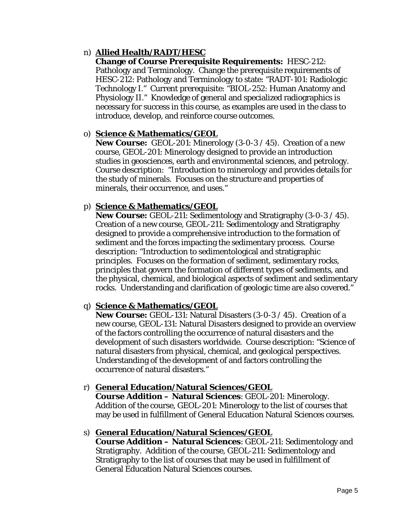### n) **Allied Health/RADT/HESC**

**Change of Course Prerequisite Requirements:** HESC-212: Pathology and Terminology. Change the prerequisite requirements of HESC-212: Pathology and Terminology to state: "RADT-101: Radiologic Technology I." Current prerequisite: "BIOL-252: Human Anatomy and Physiology II." Knowledge of general and specialized radiographics is necessary for success in this course, as examples are used in the class to introduce, develop, and reinforce course outcomes.

#### o) **Science & Mathematics/GEOL**

**New Course:** GEOL-201: Minerology (3-0-3 / 45). Creation of a new course, GEOL-201: Minerology designed to provide an introduction studies in geosciences, earth and environmental sciences, and petrology. Course description: "Introduction to minerology and provides details for the study of minerals. Focuses on the structure and properties of minerals, their occurrence, and uses."

#### p) **Science & Mathematics/GEOL**

**New Course:** GEOL-211: Sedimentology and Stratigraphy (3-0-3 / 45). Creation of a new course, GEOL-211: Sedimentology and Stratigraphy designed to provide a comprehensive introduction to the formation of sediment and the forces impacting the sedimentary process. Course description: "Introduction to sedimentological and stratigraphic principles. Focuses on the formation of sediment, sedimentary rocks, principles that govern the formation of different types of sediments, and the physical, chemical, and biological aspects of sediment and sedimentary rocks. Understanding and clarification of geologic time are also covered."

# q) **Science & Mathematics/GEOL**

**New Course:** GEOL-131: Natural Disasters (3-0-3 / 45). Creation of a new course, GEOL-131: Natural Disasters designed to provide an overview of the factors controlling the occurrence of natural disasters and the development of such disasters worldwide. Course description: "Science of natural disasters from physical, chemical, and geological perspectives. Understanding of the development of and factors controlling the occurrence of natural disasters."

#### r) **General Education/Natural Sciences/GEOL**

**Course Addition – Natural Sciences**: GEOL-201: Minerology. Addition of the course, GEOL-201: Minerology to the list of courses that may be used in fulfillment of General Education Natural Sciences courses.

#### s) **General Education/Natural Sciences/GEOL**

**Course Addition – Natural Sciences**: GEOL-211: Sedimentology and Stratigraphy. Addition of the course, GEOL-211: Sedimentology and Stratigraphy to the list of courses that may be used in fulfillment of General Education Natural Sciences courses.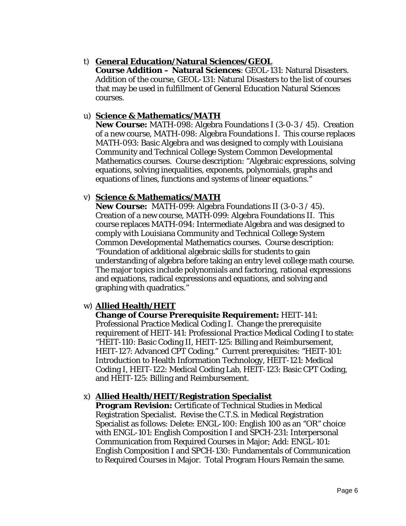#### t) **General Education/Natural Sciences/GEOL**

**Course Addition – Natural Sciences**: GEOL-131: Natural Disasters. Addition of the course, GEOL-131: Natural Disasters to the list of courses that may be used in fulfillment of General Education Natural Sciences courses.

#### u) **Science & Mathematics/MATH**

**New Course:** MATH-098: Algebra Foundations I (3-0-3 / 45). Creation of a new course, MATH-098: Algebra Foundations I. This course replaces MATH-093: Basic Algebra and was designed to comply with Louisiana Community and Technical College System Common Developmental Mathematics courses. Course description: "Algebraic expressions, solving equations, solving inequalities, exponents, polynomials, graphs and equations of lines, functions and systems of linear equations."

# v) **Science & Mathematics/MATH**

**New Course:** MATH-099: Algebra Foundations II (3-0-3 / 45). Creation of a new course, MATH-099: Algebra Foundations II. This course replaces MATH-094: Intermediate Algebra and was designed to comply with Louisiana Community and Technical College System Common Developmental Mathematics courses. Course description: "Foundation of additional algebraic skills for students to gain understanding of algebra before taking an entry level college math course. The major topics include polynomials and factoring, rational expressions and equations, radical expressions and equations, and solving and graphing with quadratics."

# w) **Allied Health/HEIT**

# **Change of Course Prerequisite Requirement:** HEIT-141:

Professional Practice Medical Coding I. Change the prerequisite requirement of HEIT-141: Professional Practice Medical Coding I to state: "HEIT-110: Basic Coding II, HEIT-125: Billing and Reimbursement, HEIT-127: Advanced CPT Coding." Current prerequisites: "HEIT-101: Introduction to Health Information Technology, HEIT-121: Medical Coding I, HEIT-122: Medical Coding Lab, HEIT-123: Basic CPT Coding, and HEIT-125: Billing and Reimbursement.

#### x) **Allied Health/HEIT/Registration Specialist**

**Program Revision:** Certificate of Technical Studies in Medical Registration Specialist. Revise the C.T.S. in Medical Registration Specialist as follows: Delete: ENGL-100: English 100 as an "OR" choice with ENGL-101: English Composition I and SPCH-231: Interpersonal Communication from Required Courses in Major; Add: ENGL-101: English Composition I and SPCH-130: Fundamentals of Communication to Required Courses in Major. Total Program Hours Remain the same.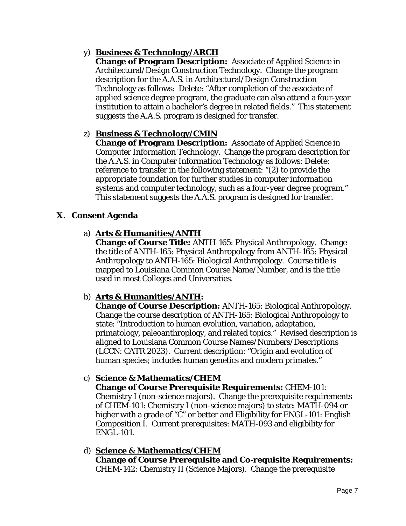# y) **Business & Technology/ARCH**

**Change of Program Description:** Associate of Applied Science in Architectural/Design Construction Technology. Change the program description for the A.A.S. in Architectural/Design Construction Technology as follows: Delete: "After completion of the associate of applied science degree program, the graduate can also attend a four-year institution to attain a bachelor's degree in related fields." This statement suggests the A.A.S. program is designed for transfer.

# z) **Business & Technology/CMIN**

**Change of Program Description:** Associate of Applied Science in Computer Information Technology. Change the program description for the A.A.S. in Computer Information Technology as follows: Delete: reference to transfer in the following statement: "(2) to provide the appropriate foundation for further studies in computer information systems and computer technology, such as a four-year degree program." This statement suggests the A.A.S. program is designed for transfer.

# **X. Consent Agenda**

# a) **Arts & Humanities/ANTH**

**Change of Course Title:** ANTH-165: Physical Anthropology. Change the title of ANTH-165: Physical Anthropology *from* ANTH-165: Physical Anthropology *to* ANTH-165: Biological Anthropology. Course title is mapped to Louisiana Common Course Name/Number, and is the title used in most Colleges and Universities.

# b) **Arts & Humanities/ANTH:**

**Change of Course Description:** ANTH-165: Biological Anthropology. Change the course description of ANTH-165: Biological Anthropology to state: "Introduction to human evolution, variation, adaptation, primatology, paleoanthroplogy, and related topics." Revised description is aligned to Louisiana Common Course Names/Numbers/Descriptions (LCCN: CATR 2023). Current description: "Origin and evolution of human species; includes human genetics and modern primates."

# c) **Science & Mathematics/CHEM**

**Change of Course Prerequisite Requirements:** CHEM-101: Chemistry I (non-science majors). Change the prerequisite requirements of CHEM-101: Chemistry I (non-science majors) to state: MATH-094 or higher with a grade of "C" or better and Eligibility for ENGL-101: English Composition I. Current prerequisites: MATH-093 and eligibility for ENGL-101.

#### d) **Science & Mathematics/CHEM Change of Course Prerequisite and Co-requisite Requirements:** CHEM-142: Chemistry II (Science Majors). Change the prerequisite